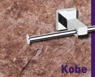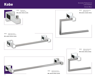## CRHOME BRASS

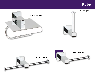## Kobe







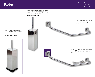